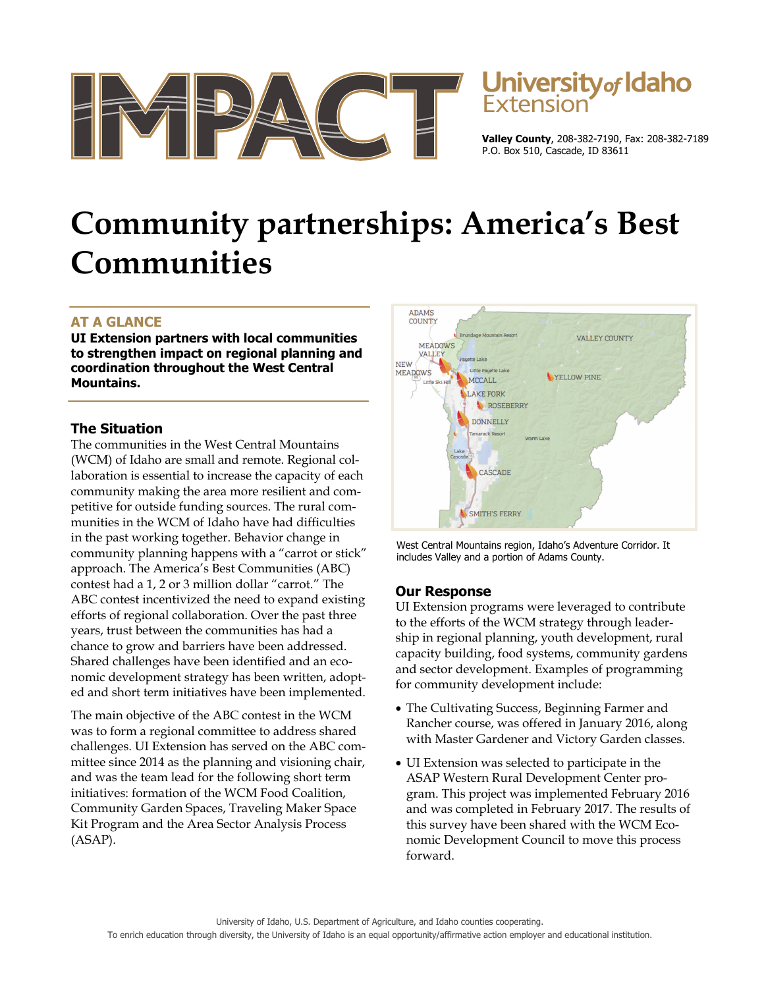

# **University of Idaho**

**Valley County**, 208-382-7190, Fax: 208-382-7189 P.O. Box 510, Cascade, ID 83611

# **Community partnerships: America's Best Communities**

# **AT A GLANCE**

**UI Extension partners with local communities to strengthen impact on regional planning and coordination throughout the West Central Mountains.** 

### **The Situation**

The communities in the West Central Mountains (WCM) of Idaho are small and remote. Regional collaboration is essential to increase the capacity of each community making the area more resilient and competitive for outside funding sources. The rural communities in the WCM of Idaho have had difficulties in the past working together. Behavior change in community planning happens with a "carrot or stick" approach. The America's Best Communities (ABC) contest had a 1, 2 or 3 million dollar "carrot." The ABC contest incentivized the need to expand existing efforts of regional collaboration. Over the past three years, trust between the communities has had a chance to grow and barriers have been addressed. Shared challenges have been identified and an economic development strategy has been written, adopted and short term initiatives have been implemented.

The main objective of the ABC contest in the WCM was to form a regional committee to address shared challenges. UI Extension has served on the ABC committee since 2014 as the planning and visioning chair, and was the team lead for the following short term initiatives: formation of the WCM Food Coalition, Community Garden Spaces, Traveling Maker Space Kit Program and the Area Sector Analysis Process (ASAP).



West Central Mountains region, Idaho's Adventure Corridor. It includes Valley and a portion of Adams County.

## **Our Response**

UI Extension programs were leveraged to contribute to the efforts of the WCM strategy through leadership in regional planning, youth development, rural capacity building, food systems, community gardens and sector development. Examples of programming for community development include:

- The Cultivating Success, Beginning Farmer and Rancher course, was offered in January 2016, along with Master Gardener and Victory Garden classes.
- UI Extension was selected to participate in the ASAP Western Rural Development Center program. This project was implemented February 2016 and was completed in February 2017. The results of this survey have been shared with the WCM Economic Development Council to move this process forward.